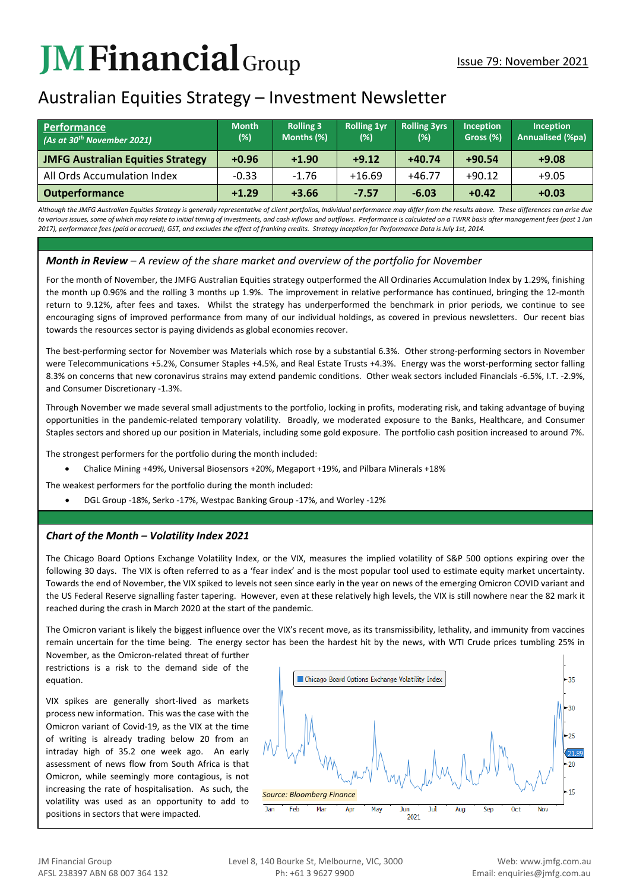# **JMFinancial**Group

# Australian Equities Strategy – Investment Newsletter

| Performance<br>(As at 30 <sup>th</sup> November 2021) | <b>Month</b><br>(%) | <b>Rolling 3</b><br>Months (%) | <b>Rolling 1yr</b><br>(%) | <b>Rolling 3yrs</b><br>(%) | <b>Inception</b><br>Gross (%) | Inception<br><b>Annualised (%pa)</b> |
|-------------------------------------------------------|---------------------|--------------------------------|---------------------------|----------------------------|-------------------------------|--------------------------------------|
| <b>JMFG Australian Equities Strategy</b>              | $+0.96$             | $+1.90$                        | $+9.12$                   | $+40.74$                   | $+90.54$                      | $+9.08$                              |
| All Ords Accumulation Index                           | $-0.33$             | $-1.76$                        | $+16.69$                  | $+46.77$                   | $+90.12$                      | $+9.05$                              |
| <b>Outperformance</b>                                 | $+1.29$             | $+3.66$                        | $-7.57$                   | $-6.03$                    | $+0.42$                       | $+0.03$                              |

*Although the JMFG Australian Equities Strategy is generally representative of client portfolios, Individual performance may differ from the results above. These differences can arise due to various issues, some of which may relate to initial timing of investments, and cash inflows and outflows. Performance is calculated on a TWRR basis after management fees (post 1 Jan 2017), performance fees (paid or accrued), GST, and excludes the effect of franking credits. Strategy Inception for Performance Data is July 1st, 2014.*

## *Month in Review – A review of the share market and overview of the portfolio for November*

For the month of November, the JMFG Australian Equities strategy outperformed the All Ordinaries Accumulation Index by 1.29%, finishing the month up 0.96% and the rolling 3 months up 1.9%. The improvement in relative performance has continued, bringing the 12-month return to 9.12%, after fees and taxes. Whilst the strategy has underperformed the benchmark in prior periods, we continue to see encouraging signs of improved performance from many of our individual holdings, as covered in previous newsletters. Our recent bias towards the resources sector is paying dividends as global economies recover.

The best-performing sector for November was Materials which rose by a substantial 6.3%. Other strong-performing sectors in November were Telecommunications +5.2%, Consumer Staples +4.5%, and Real Estate Trusts +4.3%. Energy was the worst-performing sector falling 8.3% on concerns that new coronavirus strains may extend pandemic conditions. Other weak sectors included Financials -6.5%, I.T. -2.9%, and Consumer Discretionary -1.3%.

Through November we made several small adjustments to the portfolio, locking in profits, moderating risk, and taking advantage of buying opportunities in the pandemic-related temporary volatility. Broadly, we moderated exposure to the Banks, Healthcare, and Consumer Staples sectors and shored up our position in Materials, including some gold exposure. The portfolio cash position increased to around 7%.

The strongest performers for the portfolio during the month included:

• Chalice Mining +49%, Universal Biosensors +20%, Megaport +19%, and Pilbara Minerals +18%

The weakest performers for the portfolio during the month included:

• DGL Group -18%, Serko -17%, Westpac Banking Group -17%, and Worley -12%

### *Chart of the Month – Volatility Index 2021*

The Chicago Board Options Exchange Volatility Index, or the VIX, measures the implied volatility of S&P 500 options expiring over the following 30 days. The VIX is often referred to as a 'fear index' and is the most popular tool used to estimate equity market uncertainty. Towards the end of November, the VIX spiked to levels not seen since early in the year on news of the emerging Omicron COVID variant and the US Federal Reserve signalling faster tapering. However, even at these relatively high levels, the VIX is still nowhere near the 82 mark it reached during the crash in March 2020 at the start of the pandemic.

The Omicron variant is likely the biggest influence over the VIX's recent move, as its transmissibility, lethality, and immunity from vaccines remain uncertain for the time being. The energy sector has been the hardest hit by the news, with WTI Crude prices tumbling 25% in

November November, as the Omicron-related threat of further restrictions is a risk to the demand side of the equation.

VIX spikes are generally short-lived as markets process new information. This was the case with the Omicron variant of Covid-19, as the VIX at the time of writing is already trading below 20 from an intraday high of 35.2 one week ago. An early assessment of news flow from South Africa is that Omicron, while seemingly more contagious, is not increasing the rate of hospitalisation. As such, the volatility was used as an opportunity to add to positions in sectors that were impacted.